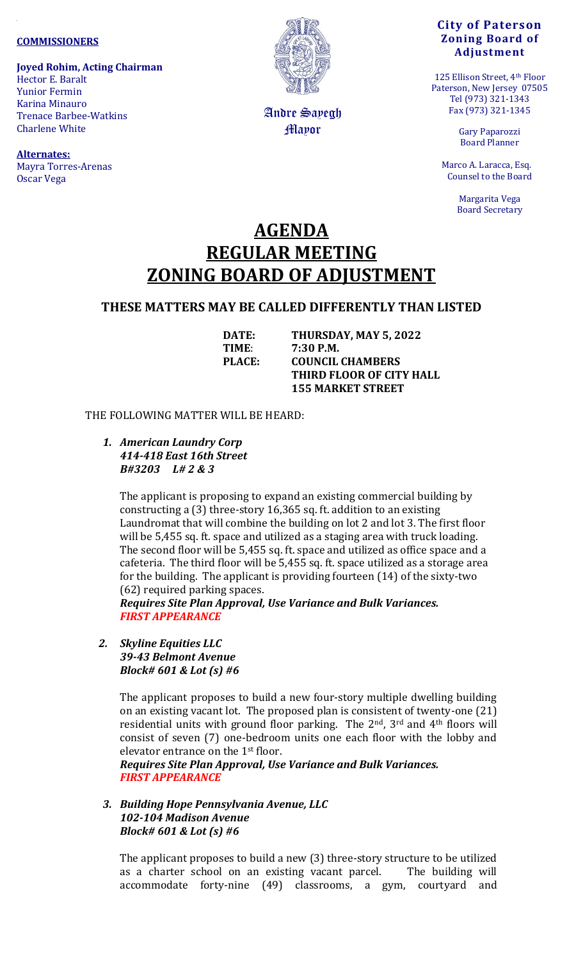#### **COMMISSIONERS**

**Joyed Rohim, Acting Chairman** Hector E. Baralt Yunior Fermin Karina Minauro Trenace Barbee-Watkins Charlene White

**Alternates:**  Mayra Torres-Arenas Oscar Vega



Andre Sayegh Mayor

### **City of Paterson Zoning Board of Adjustment**

125 Ellison Street, 4th Floor Paterson, New Jersey 07505 Tel (973) 321-1343 Fax (973) 321-1345

> Gary Paparozzi Board Planner

 Marco A. Laracca, Esq. Counsel to the Board

> Margarita Vega Board Secretary

# **AGENDA REGULAR MEETING ZONING BOARD OF ADJUSTMENT**

## **THESE MATTERS MAY BE CALLED DIFFERENTLY THAN LISTED**

**DATE: THURSDAY, MAY 5, 2022 TIME**: **7:30 P.M. PLACE: COUNCIL CHAMBERS THIRD FLOOR OF CITY HALL 155 MARKET STREET**

#### THE FOLLOWING MATTER WILL BE HEARD:

*1. American Laundry Corp 414-418 East 16th Street B#3203 L# 2 & 3*

> The applicant is proposing to expand an existing commercial building by constructing a (3) three-story 16,365 sq. ft. addition to an existing Laundromat that will combine the building on lot 2 and lot 3. The first floor will be 5,455 sq. ft. space and utilized as a staging area with truck loading. The second floor will be 5,455 sq. ft. space and utilized as office space and a cafeteria. The third floor will be 5,455 sq. ft. space utilized as a storage area for the building. The applicant is providing fourteen (14) of the sixty-two (62) required parking spaces.

*Requires Site Plan Approval, Use Variance and Bulk Variances. FIRST APPEARANCE*

*2. Skyline Equities LLC 39-43 Belmont Avenue Block# 601 & Lot (s) #6*

> The applicant proposes to build a new four-story multiple dwelling building on an existing vacant lot. The proposed plan is consistent of twenty-one (21) residential units with ground floor parking. The 2<sup>nd</sup>, 3<sup>rd</sup> and 4<sup>th</sup> floors will consist of seven (7) one-bedroom units one each floor with the lobby and elevator entrance on the 1st floor.

*Requires Site Plan Approval, Use Variance and Bulk Variances. FIRST APPEARANCE*

*3. Building Hope Pennsylvania Avenue, LLC 102-104 Madison Avenue Block# 601 & Lot (s) #6*

The applicant proposes to build a new (3) three-story structure to be utilized as a charter school on an existing vacant parcel. The building will accommodate forty-nine (49) classrooms, a gym, courtyard and